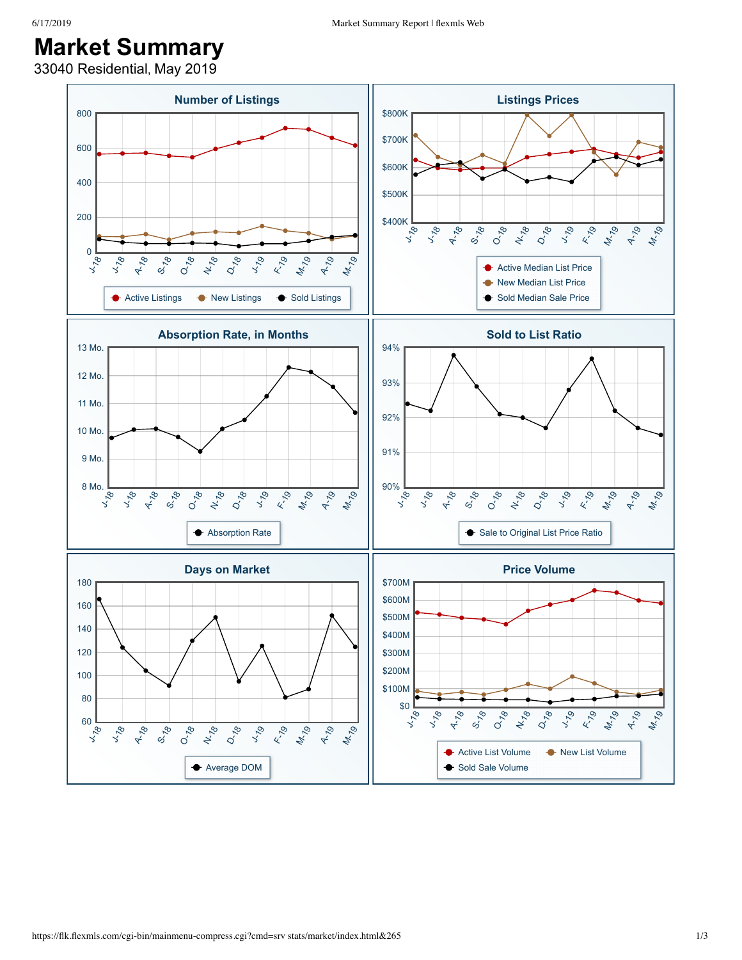## **Market Summary**

33040 Residential, May 2019

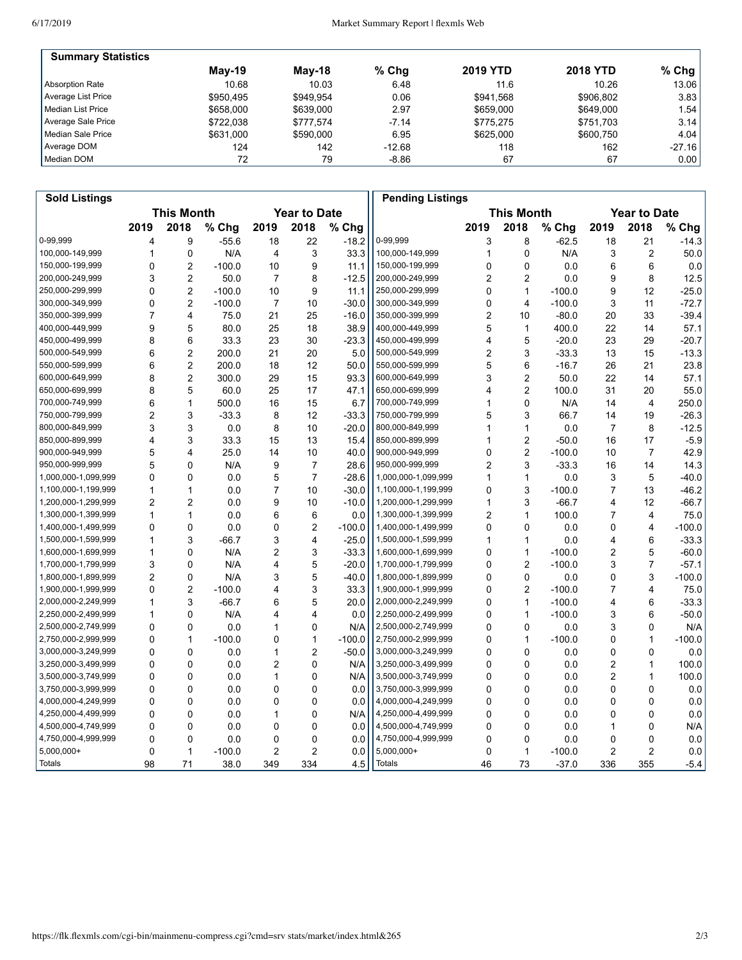| <b>Summary Statistics</b> |           |           |         |                 |                 |           |
|---------------------------|-----------|-----------|---------|-----------------|-----------------|-----------|
|                           | $M$ ay-19 | Mav-18    | $%$ Chg | <b>2019 YTD</b> | <b>2018 YTD</b> | % Chg $ $ |
| Absorption Rate           | 10.68     | 10.03     | 6.48    | 11.6            | 10.26           | 13.06     |
| Average List Price        | \$950.495 | \$949.954 | 0.06    | \$941.568       | \$906.802       | 3.83      |
| l Median List Price       | \$658,000 | \$639,000 | 2.97    | \$659,000       | \$649,000       | 1.54 l    |
| Average Sale Price        | \$722.038 | \$777.574 | $-7.14$ | \$775.275       | \$751.703       | 3.14      |
| Median Sale Price         | \$631,000 | \$590,000 | 6.95    | \$625,000       | \$600.750       | 4.04      |
| Average DOM               | 124       | 142       | -12.68  | 118             | 162             | $-27.16$  |
| Median DOM                | 72        | 79        | $-8.86$ | 67              | 67              | 0.00      |

| <b>This Month</b><br><b>Year to Date</b><br><b>This Month</b><br><b>Year to Date</b><br>2018<br>2019<br>2018<br>% Chg<br>2019<br>% Chg<br>2019<br>2018<br>2019<br>2018<br>% Chg<br>% Chg<br>0-99,999<br>9<br>$-55.6$<br>18<br>22<br>$-18.2$<br>0-99,999<br>3<br>8<br>$-62.5$<br>21<br>$-14.3$<br>4<br>18<br>3<br>33.3<br>$\overline{c}$<br>100,000-149,999<br>0<br>N/A<br>4<br>100,000-149,999<br>$\mathbf 0$<br>N/A<br>50.0<br>1<br>$\mathbf{1}$<br>3<br>150,000-199,999<br>$\overline{2}$<br>9<br>150,000-199,999<br>0.0<br>0.0<br>0<br>$-100.0$<br>10<br>11.1<br>0<br>0<br>6<br>6<br>3<br>$\overline{\mathbf{c}}$<br>8<br>$\overline{2}$<br>$\overline{2}$<br>8<br>12.5<br>200,000-249,999<br>50.0<br>7<br>$-12.5$<br>200,000-249,999<br>0.0<br>9<br>$\overline{2}$<br>$\mathbf{1}$<br>$\overline{0}$<br>9<br>$-25.0$<br>250,000-299,999<br>$-100.0$<br>10<br>11.1<br>250,000-299,999<br>$\Omega$<br>$-100.0$<br>9<br>12<br>0<br>$\overline{2}$<br>$\overline{7}$<br>$-30.0$<br>300,000-349,999<br>0<br>$\overline{4}$<br>$-100.0$<br>3<br>11<br>$-72.7$<br>300,000-349,999<br>$-100.0$<br>10<br>$\overline{7}$<br>$\overline{4}$<br>25<br>$-16.0$<br>350,000-399,999<br>2<br>$-80.0$<br>33<br>$-39.4$<br>350,000-399,999<br>75.0<br>21<br>10<br>20<br>9<br>5<br>38.9<br>400,000-449,999<br>57.1<br>400,000-449,999<br>80.0<br>25<br>18<br>5<br>$\mathbf{1}$<br>400.0<br>22<br>14<br>8<br>5<br>23<br>450,000-499,999<br>6<br>33.3<br>23<br>30<br>$-23.3$<br>450,000-499,999<br>$-20.0$<br>29<br>$-20.7$<br>4<br>6<br>$\overline{2}$<br>3<br>500,000-549,999<br>200.0<br>21<br>20<br>5.0<br>500,000-549,999<br>$\overline{2}$<br>$-33.3$<br>13<br>15<br>$-13.3$<br>550,000-599,999<br>6<br>$\overline{2}$<br>200.0<br>12<br>50.0<br>550,000-599,999<br>5<br>6<br>$-16.7$<br>26<br>21<br>23.8<br>18<br>2<br>93.3<br>$\overline{2}$<br>8<br>15<br>3<br>50.0<br>22<br>57.1<br>300.0<br>29<br>600,000-649,999<br>14<br>600,000-649,999<br>$\overline{2}$<br>8<br>5<br>650,000-699,999<br>100.0<br>55.0<br>650,000-699,999<br>60.0<br>25<br>17<br>47.1<br>31<br>20<br>4<br>6<br>$\mathbf 0$<br>700,000-749,999<br>500.0<br>15<br>6.7<br>700,000-749,999<br>N/A<br>4<br>250.0<br>1<br>16<br>14<br>1<br>$\overline{2}$<br>3<br>750,000-799,999<br>3<br>$-33.3$<br>8<br>12<br>$-33.3$<br>750,000-799,999<br>66.7<br>19<br>$-26.3$<br>5<br>14<br>800,000-849,999<br>3<br>3<br>10<br>$-20.0$<br>800,000-849,999<br>$\mathbf{1}$<br>0.0<br>$\overline{7}$<br>8<br>$-12.5$<br>0.0<br>8<br>1<br>$\overline{c}$<br>4<br>3<br>15.4<br>$-50.0$<br>$-5.9$<br>850,000-899,999<br>33.3<br>15<br>13<br>850,000-899,999<br>16<br>17<br>1<br>900,000-949,999<br>40.0<br>900,000-949,999<br>$\overline{2}$<br>$-100.0$<br>42.9<br>5<br>4<br>25.0<br>14<br>10<br>0<br>10<br>$\overline{7}$<br>5<br>$\overline{2}$<br>3<br>950,000-999,999<br>N/A<br>9<br>7<br>28.6<br>950,000-999,999<br>$-33.3$<br>14<br>14.3<br>$\Omega$<br>16<br>$\overline{7}$<br>$\mathbf{1}$<br>5<br>$-40.0$<br>1,000,000-1,099,999<br>0<br>0<br>5<br>$-28.6$<br>1,000,000-1,099,999<br>1<br>0.0<br>3<br>0.0<br>10<br>$-30.0$<br>$\Omega$<br>3<br>$-100.0$<br>13<br>$-46.2$<br>1,100,000-1,199,999<br>1<br>1<br>0.0<br>7<br>1,100,000-1,199,999<br>7<br>$\overline{2}$<br>3<br>$\overline{2}$<br>9<br>$-10.0$<br>1,200,000-1,299,999<br>$-66.7$<br>12<br>$-66.7$<br>1,200,000-1,299,999<br>0.0<br>10<br>$\mathbf{1}$<br>4<br>1,300,000-1,399,999<br>100.0<br>1<br>$\mathbf{1}$<br>0.0<br>6<br>6<br>0.0<br>2<br>$\mathbf{1}$<br>$\overline{7}$<br>4<br>75.0<br>$\overline{c}$<br>1,400,000-1,499,999<br>0<br>$\mathbf{0}$<br>0.0<br>0<br>$-100.0$<br>1,400,000-1,499,999<br>$\Omega$<br>0<br>0.0<br>4<br>$-100.0$<br>0<br>3<br>4<br>$\mathbf{1}$<br>$\mathbf{1}$<br>3<br>0.0<br>6<br>$-33.3$<br>1,500,000-1,599,999<br>$-66.7$<br>$-25.0$<br>1,500,000-1,599,999<br>$\mathbf{1}$<br>4<br>0<br>N/A<br>2<br>3<br>$-33.3$<br>$\mathbf{1}$<br>$-100.0$<br>2<br>5<br>$-60.0$<br>1,600,000-1,699,999<br>1<br>1,600,000-1,699,999<br>0<br>5<br>$\overline{2}$<br>7<br>3<br>4<br>$-20.0$<br>$-100.0$<br>3<br>$-57.1$<br>1,700,000-1,799,999<br>0<br>N/A<br>1,700,000-1,799,999<br>0<br>$\overline{2}$<br>5<br>$-40.0$<br>1,800,000-1,899,999<br>0<br>3<br>$-100.0$<br>0<br>N/A<br>3<br>0<br>0.0<br>0<br>$\overline{2}$<br>3<br>$\overline{2}$<br>0<br>$-100.0$<br>4<br>33.3<br>1,900,000-1,999,999<br>$\Omega$<br>$-100.0$<br>$\overline{7}$<br>4<br>75.0<br>3<br>5<br>$\mathbf{1}$<br>6<br>20.0<br>6<br>$-33.3$<br>1<br>$-66.7$<br>2,000,000-2,249,999<br>0<br>$-100.0$<br>4<br>0<br>4<br>0.0<br>$\mathbf{1}$<br>$-100.0$<br>6<br>$-50.0$<br>1<br>N/A<br>4<br>2,250,000-2,499,999<br>0<br>3<br>0<br>0<br>N/A<br>2,500,000-2,749,999<br>$\mathbf 0$<br>0.0<br>0<br>N/A<br>0<br>0.0<br>1<br>0<br>3<br>$\mathbf{1}$<br>$-100.0$<br>2,750,000-2,999,999<br>$-100.0$<br>$-100.0$<br>0<br>$\mathbf{1}$<br>$-100.0$<br>0<br>0<br>$\mathbf{1}$<br>1<br>0<br>$\overline{2}$<br>0<br>1<br>$-50.0$<br>3,000,000-3,249,999<br>$\mathbf 0$<br>0.0<br>0<br>0.0<br>$\Omega$<br>0.0<br>0<br>0<br>0<br>0<br>$\mathbf{0}$<br>2<br>N/A<br>$\mathbf 0$<br>0.0<br>2<br>$\mathbf{1}$<br>0.0<br>3,250,000-3,499,999<br>0<br>100.0<br>3,500,000-3,749,999<br>0<br>$\mathbf{0}$<br>1<br>0<br>N/A<br>$\Omega$<br>0.0<br>2<br>1<br>100.0<br>0.0<br>3,500,000-3,749,999<br>0<br>0<br>0<br>0<br>0.0<br>3,750,000-3,999,999<br>$\mathbf 0$<br>0<br>0.0<br>0<br>0<br>0.0<br>0<br>0.0<br>0<br>0<br>0<br>0<br>0.0<br>4,000,000-4,249,999<br>$\Omega$<br>0.0<br>0<br>0.0<br>0.0<br>0<br>0<br>0<br>4,250,000-4,499,999<br>0<br>$\mathbf{0}$<br>N/A<br>4,250,000-4,499,999<br>$\mathbf 0$<br>0.0<br>0<br>0.0<br>0.0<br>1<br>0<br>0<br>$\mathbf 0$<br>0<br>0<br>0.0<br>$\mathbf 0$<br>0<br>N/A<br>0.0<br>0<br>4,500,000-4,749,999<br>0<br>0.0<br>1<br>0<br>0<br>0.0<br>4,750,000-4,999,999<br>0<br>0.0<br>0<br>0.0<br>0<br>0<br>0<br>0.0<br>0<br>2<br>$\overline{c}$<br>5,000,000+<br>0<br>2<br>0.0<br>5,000,000+<br>$\mathbf{1}$<br>2<br>0.0<br>1<br>$-100.0$<br>0<br>$-100.0$<br>98<br>38.0<br>349<br>334<br>4.5<br><b>Totals</b><br>73<br>$-37.0$<br>336<br>355<br>71<br>46 | <b>Sold Listings</b> |  |  |  |  |  |  | <b>Pending Listings</b> |  |  |  |  |  |        |
|-----------------------------------------------------------------------------------------------------------------------------------------------------------------------------------------------------------------------------------------------------------------------------------------------------------------------------------------------------------------------------------------------------------------------------------------------------------------------------------------------------------------------------------------------------------------------------------------------------------------------------------------------------------------------------------------------------------------------------------------------------------------------------------------------------------------------------------------------------------------------------------------------------------------------------------------------------------------------------------------------------------------------------------------------------------------------------------------------------------------------------------------------------------------------------------------------------------------------------------------------------------------------------------------------------------------------------------------------------------------------------------------------------------------------------------------------------------------------------------------------------------------------------------------------------------------------------------------------------------------------------------------------------------------------------------------------------------------------------------------------------------------------------------------------------------------------------------------------------------------------------------------------------------------------------------------------------------------------------------------------------------------------------------------------------------------------------------------------------------------------------------------------------------------------------------------------------------------------------------------------------------------------------------------------------------------------------------------------------------------------------------------------------------------------------------------------------------------------------------------------------------------------------------------------------------------------------------------------------------------------------------------------------------------------------------------------------------------------------------------------------------------------------------------------------------------------------------------------------------------------------------------------------------------------------------------------------------------------------------------------------------------------------------------------------------------------------------------------------------------------------------------------------------------------------------------------------------------------------------------------------------------------------------------------------------------------------------------------------------------------------------------------------------------------------------------------------------------------------------------------------------------------------------------------------------------------------------------------------------------------------------------------------------------------------------------------------------------------------------------------------------------------------------------------------------------------------------------------------------------------------------------------------------------------------------------------------------------------------------------------------------------------------------------------------------------------------------------------------------------------------------------------------------------------------------------------------------------------------------------------------------------------------------------------------------------------------------------------------------------------------------------------------------------------------------------------------------------------------------------------------------------------------------------------------------------------------------------------------------------------------------------------------------------------------------------------------------------------------------------------------------------------------------------------------------------------------------------------------------------------------------------------------------------------------------------------------------------------------------------------------------------------------------------------------------------------------------------------------------------------------------------------------------------------------------------------------------------------------------------------------------------------------------------------------------------------------------------------------------------------------------------------------------------------------------------------------------------------------------------------------------------------------------------------------------------------------------------------------------------------------------------------------------------------------------------------------------------------------------------------------------------------------------------------------------------------------------------------------------------------------------------------------------------------------------------------------------------------------------------------------------------------------------------------------------------------------------|----------------------|--|--|--|--|--|--|-------------------------|--|--|--|--|--|--------|
|                                                                                                                                                                                                                                                                                                                                                                                                                                                                                                                                                                                                                                                                                                                                                                                                                                                                                                                                                                                                                                                                                                                                                                                                                                                                                                                                                                                                                                                                                                                                                                                                                                                                                                                                                                                                                                                                                                                                                                                                                                                                                                                                                                                                                                                                                                                                                                                                                                                                                                                                                                                                                                                                                                                                                                                                                                                                                                                                                                                                                                                                                                                                                                                                                                                                                                                                                                                                                                                                                                                                                                                                                                                                                                                                                                                                                                                                                                                                                                                                                                                                                                                                                                                                                                                                                                                                                                                                                                                                                                                                                                                                                                                                                                                                                                                                                                                                                                                                                                                                                                                                                                                                                                                                                                                                                                                                                                                                                                                                                                                                                                                                                                                                                                                                                                                                                                                                                                                                                                                                                                                                                   |                      |  |  |  |  |  |  |                         |  |  |  |  |  |        |
|                                                                                                                                                                                                                                                                                                                                                                                                                                                                                                                                                                                                                                                                                                                                                                                                                                                                                                                                                                                                                                                                                                                                                                                                                                                                                                                                                                                                                                                                                                                                                                                                                                                                                                                                                                                                                                                                                                                                                                                                                                                                                                                                                                                                                                                                                                                                                                                                                                                                                                                                                                                                                                                                                                                                                                                                                                                                                                                                                                                                                                                                                                                                                                                                                                                                                                                                                                                                                                                                                                                                                                                                                                                                                                                                                                                                                                                                                                                                                                                                                                                                                                                                                                                                                                                                                                                                                                                                                                                                                                                                                                                                                                                                                                                                                                                                                                                                                                                                                                                                                                                                                                                                                                                                                                                                                                                                                                                                                                                                                                                                                                                                                                                                                                                                                                                                                                                                                                                                                                                                                                                                                   |                      |  |  |  |  |  |  |                         |  |  |  |  |  |        |
|                                                                                                                                                                                                                                                                                                                                                                                                                                                                                                                                                                                                                                                                                                                                                                                                                                                                                                                                                                                                                                                                                                                                                                                                                                                                                                                                                                                                                                                                                                                                                                                                                                                                                                                                                                                                                                                                                                                                                                                                                                                                                                                                                                                                                                                                                                                                                                                                                                                                                                                                                                                                                                                                                                                                                                                                                                                                                                                                                                                                                                                                                                                                                                                                                                                                                                                                                                                                                                                                                                                                                                                                                                                                                                                                                                                                                                                                                                                                                                                                                                                                                                                                                                                                                                                                                                                                                                                                                                                                                                                                                                                                                                                                                                                                                                                                                                                                                                                                                                                                                                                                                                                                                                                                                                                                                                                                                                                                                                                                                                                                                                                                                                                                                                                                                                                                                                                                                                                                                                                                                                                                                   |                      |  |  |  |  |  |  |                         |  |  |  |  |  |        |
|                                                                                                                                                                                                                                                                                                                                                                                                                                                                                                                                                                                                                                                                                                                                                                                                                                                                                                                                                                                                                                                                                                                                                                                                                                                                                                                                                                                                                                                                                                                                                                                                                                                                                                                                                                                                                                                                                                                                                                                                                                                                                                                                                                                                                                                                                                                                                                                                                                                                                                                                                                                                                                                                                                                                                                                                                                                                                                                                                                                                                                                                                                                                                                                                                                                                                                                                                                                                                                                                                                                                                                                                                                                                                                                                                                                                                                                                                                                                                                                                                                                                                                                                                                                                                                                                                                                                                                                                                                                                                                                                                                                                                                                                                                                                                                                                                                                                                                                                                                                                                                                                                                                                                                                                                                                                                                                                                                                                                                                                                                                                                                                                                                                                                                                                                                                                                                                                                                                                                                                                                                                                                   |                      |  |  |  |  |  |  |                         |  |  |  |  |  |        |
|                                                                                                                                                                                                                                                                                                                                                                                                                                                                                                                                                                                                                                                                                                                                                                                                                                                                                                                                                                                                                                                                                                                                                                                                                                                                                                                                                                                                                                                                                                                                                                                                                                                                                                                                                                                                                                                                                                                                                                                                                                                                                                                                                                                                                                                                                                                                                                                                                                                                                                                                                                                                                                                                                                                                                                                                                                                                                                                                                                                                                                                                                                                                                                                                                                                                                                                                                                                                                                                                                                                                                                                                                                                                                                                                                                                                                                                                                                                                                                                                                                                                                                                                                                                                                                                                                                                                                                                                                                                                                                                                                                                                                                                                                                                                                                                                                                                                                                                                                                                                                                                                                                                                                                                                                                                                                                                                                                                                                                                                                                                                                                                                                                                                                                                                                                                                                                                                                                                                                                                                                                                                                   |                      |  |  |  |  |  |  |                         |  |  |  |  |  |        |
|                                                                                                                                                                                                                                                                                                                                                                                                                                                                                                                                                                                                                                                                                                                                                                                                                                                                                                                                                                                                                                                                                                                                                                                                                                                                                                                                                                                                                                                                                                                                                                                                                                                                                                                                                                                                                                                                                                                                                                                                                                                                                                                                                                                                                                                                                                                                                                                                                                                                                                                                                                                                                                                                                                                                                                                                                                                                                                                                                                                                                                                                                                                                                                                                                                                                                                                                                                                                                                                                                                                                                                                                                                                                                                                                                                                                                                                                                                                                                                                                                                                                                                                                                                                                                                                                                                                                                                                                                                                                                                                                                                                                                                                                                                                                                                                                                                                                                                                                                                                                                                                                                                                                                                                                                                                                                                                                                                                                                                                                                                                                                                                                                                                                                                                                                                                                                                                                                                                                                                                                                                                                                   |                      |  |  |  |  |  |  |                         |  |  |  |  |  |        |
|                                                                                                                                                                                                                                                                                                                                                                                                                                                                                                                                                                                                                                                                                                                                                                                                                                                                                                                                                                                                                                                                                                                                                                                                                                                                                                                                                                                                                                                                                                                                                                                                                                                                                                                                                                                                                                                                                                                                                                                                                                                                                                                                                                                                                                                                                                                                                                                                                                                                                                                                                                                                                                                                                                                                                                                                                                                                                                                                                                                                                                                                                                                                                                                                                                                                                                                                                                                                                                                                                                                                                                                                                                                                                                                                                                                                                                                                                                                                                                                                                                                                                                                                                                                                                                                                                                                                                                                                                                                                                                                                                                                                                                                                                                                                                                                                                                                                                                                                                                                                                                                                                                                                                                                                                                                                                                                                                                                                                                                                                                                                                                                                                                                                                                                                                                                                                                                                                                                                                                                                                                                                                   |                      |  |  |  |  |  |  |                         |  |  |  |  |  |        |
|                                                                                                                                                                                                                                                                                                                                                                                                                                                                                                                                                                                                                                                                                                                                                                                                                                                                                                                                                                                                                                                                                                                                                                                                                                                                                                                                                                                                                                                                                                                                                                                                                                                                                                                                                                                                                                                                                                                                                                                                                                                                                                                                                                                                                                                                                                                                                                                                                                                                                                                                                                                                                                                                                                                                                                                                                                                                                                                                                                                                                                                                                                                                                                                                                                                                                                                                                                                                                                                                                                                                                                                                                                                                                                                                                                                                                                                                                                                                                                                                                                                                                                                                                                                                                                                                                                                                                                                                                                                                                                                                                                                                                                                                                                                                                                                                                                                                                                                                                                                                                                                                                                                                                                                                                                                                                                                                                                                                                                                                                                                                                                                                                                                                                                                                                                                                                                                                                                                                                                                                                                                                                   |                      |  |  |  |  |  |  |                         |  |  |  |  |  |        |
|                                                                                                                                                                                                                                                                                                                                                                                                                                                                                                                                                                                                                                                                                                                                                                                                                                                                                                                                                                                                                                                                                                                                                                                                                                                                                                                                                                                                                                                                                                                                                                                                                                                                                                                                                                                                                                                                                                                                                                                                                                                                                                                                                                                                                                                                                                                                                                                                                                                                                                                                                                                                                                                                                                                                                                                                                                                                                                                                                                                                                                                                                                                                                                                                                                                                                                                                                                                                                                                                                                                                                                                                                                                                                                                                                                                                                                                                                                                                                                                                                                                                                                                                                                                                                                                                                                                                                                                                                                                                                                                                                                                                                                                                                                                                                                                                                                                                                                                                                                                                                                                                                                                                                                                                                                                                                                                                                                                                                                                                                                                                                                                                                                                                                                                                                                                                                                                                                                                                                                                                                                                                                   |                      |  |  |  |  |  |  |                         |  |  |  |  |  |        |
|                                                                                                                                                                                                                                                                                                                                                                                                                                                                                                                                                                                                                                                                                                                                                                                                                                                                                                                                                                                                                                                                                                                                                                                                                                                                                                                                                                                                                                                                                                                                                                                                                                                                                                                                                                                                                                                                                                                                                                                                                                                                                                                                                                                                                                                                                                                                                                                                                                                                                                                                                                                                                                                                                                                                                                                                                                                                                                                                                                                                                                                                                                                                                                                                                                                                                                                                                                                                                                                                                                                                                                                                                                                                                                                                                                                                                                                                                                                                                                                                                                                                                                                                                                                                                                                                                                                                                                                                                                                                                                                                                                                                                                                                                                                                                                                                                                                                                                                                                                                                                                                                                                                                                                                                                                                                                                                                                                                                                                                                                                                                                                                                                                                                                                                                                                                                                                                                                                                                                                                                                                                                                   |                      |  |  |  |  |  |  |                         |  |  |  |  |  |        |
|                                                                                                                                                                                                                                                                                                                                                                                                                                                                                                                                                                                                                                                                                                                                                                                                                                                                                                                                                                                                                                                                                                                                                                                                                                                                                                                                                                                                                                                                                                                                                                                                                                                                                                                                                                                                                                                                                                                                                                                                                                                                                                                                                                                                                                                                                                                                                                                                                                                                                                                                                                                                                                                                                                                                                                                                                                                                                                                                                                                                                                                                                                                                                                                                                                                                                                                                                                                                                                                                                                                                                                                                                                                                                                                                                                                                                                                                                                                                                                                                                                                                                                                                                                                                                                                                                                                                                                                                                                                                                                                                                                                                                                                                                                                                                                                                                                                                                                                                                                                                                                                                                                                                                                                                                                                                                                                                                                                                                                                                                                                                                                                                                                                                                                                                                                                                                                                                                                                                                                                                                                                                                   |                      |  |  |  |  |  |  |                         |  |  |  |  |  |        |
|                                                                                                                                                                                                                                                                                                                                                                                                                                                                                                                                                                                                                                                                                                                                                                                                                                                                                                                                                                                                                                                                                                                                                                                                                                                                                                                                                                                                                                                                                                                                                                                                                                                                                                                                                                                                                                                                                                                                                                                                                                                                                                                                                                                                                                                                                                                                                                                                                                                                                                                                                                                                                                                                                                                                                                                                                                                                                                                                                                                                                                                                                                                                                                                                                                                                                                                                                                                                                                                                                                                                                                                                                                                                                                                                                                                                                                                                                                                                                                                                                                                                                                                                                                                                                                                                                                                                                                                                                                                                                                                                                                                                                                                                                                                                                                                                                                                                                                                                                                                                                                                                                                                                                                                                                                                                                                                                                                                                                                                                                                                                                                                                                                                                                                                                                                                                                                                                                                                                                                                                                                                                                   |                      |  |  |  |  |  |  |                         |  |  |  |  |  |        |
|                                                                                                                                                                                                                                                                                                                                                                                                                                                                                                                                                                                                                                                                                                                                                                                                                                                                                                                                                                                                                                                                                                                                                                                                                                                                                                                                                                                                                                                                                                                                                                                                                                                                                                                                                                                                                                                                                                                                                                                                                                                                                                                                                                                                                                                                                                                                                                                                                                                                                                                                                                                                                                                                                                                                                                                                                                                                                                                                                                                                                                                                                                                                                                                                                                                                                                                                                                                                                                                                                                                                                                                                                                                                                                                                                                                                                                                                                                                                                                                                                                                                                                                                                                                                                                                                                                                                                                                                                                                                                                                                                                                                                                                                                                                                                                                                                                                                                                                                                                                                                                                                                                                                                                                                                                                                                                                                                                                                                                                                                                                                                                                                                                                                                                                                                                                                                                                                                                                                                                                                                                                                                   |                      |  |  |  |  |  |  |                         |  |  |  |  |  |        |
|                                                                                                                                                                                                                                                                                                                                                                                                                                                                                                                                                                                                                                                                                                                                                                                                                                                                                                                                                                                                                                                                                                                                                                                                                                                                                                                                                                                                                                                                                                                                                                                                                                                                                                                                                                                                                                                                                                                                                                                                                                                                                                                                                                                                                                                                                                                                                                                                                                                                                                                                                                                                                                                                                                                                                                                                                                                                                                                                                                                                                                                                                                                                                                                                                                                                                                                                                                                                                                                                                                                                                                                                                                                                                                                                                                                                                                                                                                                                                                                                                                                                                                                                                                                                                                                                                                                                                                                                                                                                                                                                                                                                                                                                                                                                                                                                                                                                                                                                                                                                                                                                                                                                                                                                                                                                                                                                                                                                                                                                                                                                                                                                                                                                                                                                                                                                                                                                                                                                                                                                                                                                                   |                      |  |  |  |  |  |  |                         |  |  |  |  |  |        |
|                                                                                                                                                                                                                                                                                                                                                                                                                                                                                                                                                                                                                                                                                                                                                                                                                                                                                                                                                                                                                                                                                                                                                                                                                                                                                                                                                                                                                                                                                                                                                                                                                                                                                                                                                                                                                                                                                                                                                                                                                                                                                                                                                                                                                                                                                                                                                                                                                                                                                                                                                                                                                                                                                                                                                                                                                                                                                                                                                                                                                                                                                                                                                                                                                                                                                                                                                                                                                                                                                                                                                                                                                                                                                                                                                                                                                                                                                                                                                                                                                                                                                                                                                                                                                                                                                                                                                                                                                                                                                                                                                                                                                                                                                                                                                                                                                                                                                                                                                                                                                                                                                                                                                                                                                                                                                                                                                                                                                                                                                                                                                                                                                                                                                                                                                                                                                                                                                                                                                                                                                                                                                   |                      |  |  |  |  |  |  |                         |  |  |  |  |  |        |
|                                                                                                                                                                                                                                                                                                                                                                                                                                                                                                                                                                                                                                                                                                                                                                                                                                                                                                                                                                                                                                                                                                                                                                                                                                                                                                                                                                                                                                                                                                                                                                                                                                                                                                                                                                                                                                                                                                                                                                                                                                                                                                                                                                                                                                                                                                                                                                                                                                                                                                                                                                                                                                                                                                                                                                                                                                                                                                                                                                                                                                                                                                                                                                                                                                                                                                                                                                                                                                                                                                                                                                                                                                                                                                                                                                                                                                                                                                                                                                                                                                                                                                                                                                                                                                                                                                                                                                                                                                                                                                                                                                                                                                                                                                                                                                                                                                                                                                                                                                                                                                                                                                                                                                                                                                                                                                                                                                                                                                                                                                                                                                                                                                                                                                                                                                                                                                                                                                                                                                                                                                                                                   |                      |  |  |  |  |  |  |                         |  |  |  |  |  |        |
|                                                                                                                                                                                                                                                                                                                                                                                                                                                                                                                                                                                                                                                                                                                                                                                                                                                                                                                                                                                                                                                                                                                                                                                                                                                                                                                                                                                                                                                                                                                                                                                                                                                                                                                                                                                                                                                                                                                                                                                                                                                                                                                                                                                                                                                                                                                                                                                                                                                                                                                                                                                                                                                                                                                                                                                                                                                                                                                                                                                                                                                                                                                                                                                                                                                                                                                                                                                                                                                                                                                                                                                                                                                                                                                                                                                                                                                                                                                                                                                                                                                                                                                                                                                                                                                                                                                                                                                                                                                                                                                                                                                                                                                                                                                                                                                                                                                                                                                                                                                                                                                                                                                                                                                                                                                                                                                                                                                                                                                                                                                                                                                                                                                                                                                                                                                                                                                                                                                                                                                                                                                                                   |                      |  |  |  |  |  |  |                         |  |  |  |  |  |        |
|                                                                                                                                                                                                                                                                                                                                                                                                                                                                                                                                                                                                                                                                                                                                                                                                                                                                                                                                                                                                                                                                                                                                                                                                                                                                                                                                                                                                                                                                                                                                                                                                                                                                                                                                                                                                                                                                                                                                                                                                                                                                                                                                                                                                                                                                                                                                                                                                                                                                                                                                                                                                                                                                                                                                                                                                                                                                                                                                                                                                                                                                                                                                                                                                                                                                                                                                                                                                                                                                                                                                                                                                                                                                                                                                                                                                                                                                                                                                                                                                                                                                                                                                                                                                                                                                                                                                                                                                                                                                                                                                                                                                                                                                                                                                                                                                                                                                                                                                                                                                                                                                                                                                                                                                                                                                                                                                                                                                                                                                                                                                                                                                                                                                                                                                                                                                                                                                                                                                                                                                                                                                                   |                      |  |  |  |  |  |  |                         |  |  |  |  |  |        |
|                                                                                                                                                                                                                                                                                                                                                                                                                                                                                                                                                                                                                                                                                                                                                                                                                                                                                                                                                                                                                                                                                                                                                                                                                                                                                                                                                                                                                                                                                                                                                                                                                                                                                                                                                                                                                                                                                                                                                                                                                                                                                                                                                                                                                                                                                                                                                                                                                                                                                                                                                                                                                                                                                                                                                                                                                                                                                                                                                                                                                                                                                                                                                                                                                                                                                                                                                                                                                                                                                                                                                                                                                                                                                                                                                                                                                                                                                                                                                                                                                                                                                                                                                                                                                                                                                                                                                                                                                                                                                                                                                                                                                                                                                                                                                                                                                                                                                                                                                                                                                                                                                                                                                                                                                                                                                                                                                                                                                                                                                                                                                                                                                                                                                                                                                                                                                                                                                                                                                                                                                                                                                   |                      |  |  |  |  |  |  |                         |  |  |  |  |  |        |
|                                                                                                                                                                                                                                                                                                                                                                                                                                                                                                                                                                                                                                                                                                                                                                                                                                                                                                                                                                                                                                                                                                                                                                                                                                                                                                                                                                                                                                                                                                                                                                                                                                                                                                                                                                                                                                                                                                                                                                                                                                                                                                                                                                                                                                                                                                                                                                                                                                                                                                                                                                                                                                                                                                                                                                                                                                                                                                                                                                                                                                                                                                                                                                                                                                                                                                                                                                                                                                                                                                                                                                                                                                                                                                                                                                                                                                                                                                                                                                                                                                                                                                                                                                                                                                                                                                                                                                                                                                                                                                                                                                                                                                                                                                                                                                                                                                                                                                                                                                                                                                                                                                                                                                                                                                                                                                                                                                                                                                                                                                                                                                                                                                                                                                                                                                                                                                                                                                                                                                                                                                                                                   |                      |  |  |  |  |  |  |                         |  |  |  |  |  |        |
|                                                                                                                                                                                                                                                                                                                                                                                                                                                                                                                                                                                                                                                                                                                                                                                                                                                                                                                                                                                                                                                                                                                                                                                                                                                                                                                                                                                                                                                                                                                                                                                                                                                                                                                                                                                                                                                                                                                                                                                                                                                                                                                                                                                                                                                                                                                                                                                                                                                                                                                                                                                                                                                                                                                                                                                                                                                                                                                                                                                                                                                                                                                                                                                                                                                                                                                                                                                                                                                                                                                                                                                                                                                                                                                                                                                                                                                                                                                                                                                                                                                                                                                                                                                                                                                                                                                                                                                                                                                                                                                                                                                                                                                                                                                                                                                                                                                                                                                                                                                                                                                                                                                                                                                                                                                                                                                                                                                                                                                                                                                                                                                                                                                                                                                                                                                                                                                                                                                                                                                                                                                                                   |                      |  |  |  |  |  |  |                         |  |  |  |  |  |        |
|                                                                                                                                                                                                                                                                                                                                                                                                                                                                                                                                                                                                                                                                                                                                                                                                                                                                                                                                                                                                                                                                                                                                                                                                                                                                                                                                                                                                                                                                                                                                                                                                                                                                                                                                                                                                                                                                                                                                                                                                                                                                                                                                                                                                                                                                                                                                                                                                                                                                                                                                                                                                                                                                                                                                                                                                                                                                                                                                                                                                                                                                                                                                                                                                                                                                                                                                                                                                                                                                                                                                                                                                                                                                                                                                                                                                                                                                                                                                                                                                                                                                                                                                                                                                                                                                                                                                                                                                                                                                                                                                                                                                                                                                                                                                                                                                                                                                                                                                                                                                                                                                                                                                                                                                                                                                                                                                                                                                                                                                                                                                                                                                                                                                                                                                                                                                                                                                                                                                                                                                                                                                                   |                      |  |  |  |  |  |  |                         |  |  |  |  |  |        |
|                                                                                                                                                                                                                                                                                                                                                                                                                                                                                                                                                                                                                                                                                                                                                                                                                                                                                                                                                                                                                                                                                                                                                                                                                                                                                                                                                                                                                                                                                                                                                                                                                                                                                                                                                                                                                                                                                                                                                                                                                                                                                                                                                                                                                                                                                                                                                                                                                                                                                                                                                                                                                                                                                                                                                                                                                                                                                                                                                                                                                                                                                                                                                                                                                                                                                                                                                                                                                                                                                                                                                                                                                                                                                                                                                                                                                                                                                                                                                                                                                                                                                                                                                                                                                                                                                                                                                                                                                                                                                                                                                                                                                                                                                                                                                                                                                                                                                                                                                                                                                                                                                                                                                                                                                                                                                                                                                                                                                                                                                                                                                                                                                                                                                                                                                                                                                                                                                                                                                                                                                                                                                   |                      |  |  |  |  |  |  |                         |  |  |  |  |  |        |
|                                                                                                                                                                                                                                                                                                                                                                                                                                                                                                                                                                                                                                                                                                                                                                                                                                                                                                                                                                                                                                                                                                                                                                                                                                                                                                                                                                                                                                                                                                                                                                                                                                                                                                                                                                                                                                                                                                                                                                                                                                                                                                                                                                                                                                                                                                                                                                                                                                                                                                                                                                                                                                                                                                                                                                                                                                                                                                                                                                                                                                                                                                                                                                                                                                                                                                                                                                                                                                                                                                                                                                                                                                                                                                                                                                                                                                                                                                                                                                                                                                                                                                                                                                                                                                                                                                                                                                                                                                                                                                                                                                                                                                                                                                                                                                                                                                                                                                                                                                                                                                                                                                                                                                                                                                                                                                                                                                                                                                                                                                                                                                                                                                                                                                                                                                                                                                                                                                                                                                                                                                                                                   |                      |  |  |  |  |  |  |                         |  |  |  |  |  |        |
|                                                                                                                                                                                                                                                                                                                                                                                                                                                                                                                                                                                                                                                                                                                                                                                                                                                                                                                                                                                                                                                                                                                                                                                                                                                                                                                                                                                                                                                                                                                                                                                                                                                                                                                                                                                                                                                                                                                                                                                                                                                                                                                                                                                                                                                                                                                                                                                                                                                                                                                                                                                                                                                                                                                                                                                                                                                                                                                                                                                                                                                                                                                                                                                                                                                                                                                                                                                                                                                                                                                                                                                                                                                                                                                                                                                                                                                                                                                                                                                                                                                                                                                                                                                                                                                                                                                                                                                                                                                                                                                                                                                                                                                                                                                                                                                                                                                                                                                                                                                                                                                                                                                                                                                                                                                                                                                                                                                                                                                                                                                                                                                                                                                                                                                                                                                                                                                                                                                                                                                                                                                                                   | 1,300,000-1,399,999  |  |  |  |  |  |  |                         |  |  |  |  |  |        |
|                                                                                                                                                                                                                                                                                                                                                                                                                                                                                                                                                                                                                                                                                                                                                                                                                                                                                                                                                                                                                                                                                                                                                                                                                                                                                                                                                                                                                                                                                                                                                                                                                                                                                                                                                                                                                                                                                                                                                                                                                                                                                                                                                                                                                                                                                                                                                                                                                                                                                                                                                                                                                                                                                                                                                                                                                                                                                                                                                                                                                                                                                                                                                                                                                                                                                                                                                                                                                                                                                                                                                                                                                                                                                                                                                                                                                                                                                                                                                                                                                                                                                                                                                                                                                                                                                                                                                                                                                                                                                                                                                                                                                                                                                                                                                                                                                                                                                                                                                                                                                                                                                                                                                                                                                                                                                                                                                                                                                                                                                                                                                                                                                                                                                                                                                                                                                                                                                                                                                                                                                                                                                   |                      |  |  |  |  |  |  |                         |  |  |  |  |  |        |
|                                                                                                                                                                                                                                                                                                                                                                                                                                                                                                                                                                                                                                                                                                                                                                                                                                                                                                                                                                                                                                                                                                                                                                                                                                                                                                                                                                                                                                                                                                                                                                                                                                                                                                                                                                                                                                                                                                                                                                                                                                                                                                                                                                                                                                                                                                                                                                                                                                                                                                                                                                                                                                                                                                                                                                                                                                                                                                                                                                                                                                                                                                                                                                                                                                                                                                                                                                                                                                                                                                                                                                                                                                                                                                                                                                                                                                                                                                                                                                                                                                                                                                                                                                                                                                                                                                                                                                                                                                                                                                                                                                                                                                                                                                                                                                                                                                                                                                                                                                                                                                                                                                                                                                                                                                                                                                                                                                                                                                                                                                                                                                                                                                                                                                                                                                                                                                                                                                                                                                                                                                                                                   |                      |  |  |  |  |  |  |                         |  |  |  |  |  |        |
|                                                                                                                                                                                                                                                                                                                                                                                                                                                                                                                                                                                                                                                                                                                                                                                                                                                                                                                                                                                                                                                                                                                                                                                                                                                                                                                                                                                                                                                                                                                                                                                                                                                                                                                                                                                                                                                                                                                                                                                                                                                                                                                                                                                                                                                                                                                                                                                                                                                                                                                                                                                                                                                                                                                                                                                                                                                                                                                                                                                                                                                                                                                                                                                                                                                                                                                                                                                                                                                                                                                                                                                                                                                                                                                                                                                                                                                                                                                                                                                                                                                                                                                                                                                                                                                                                                                                                                                                                                                                                                                                                                                                                                                                                                                                                                                                                                                                                                                                                                                                                                                                                                                                                                                                                                                                                                                                                                                                                                                                                                                                                                                                                                                                                                                                                                                                                                                                                                                                                                                                                                                                                   |                      |  |  |  |  |  |  |                         |  |  |  |  |  |        |
|                                                                                                                                                                                                                                                                                                                                                                                                                                                                                                                                                                                                                                                                                                                                                                                                                                                                                                                                                                                                                                                                                                                                                                                                                                                                                                                                                                                                                                                                                                                                                                                                                                                                                                                                                                                                                                                                                                                                                                                                                                                                                                                                                                                                                                                                                                                                                                                                                                                                                                                                                                                                                                                                                                                                                                                                                                                                                                                                                                                                                                                                                                                                                                                                                                                                                                                                                                                                                                                                                                                                                                                                                                                                                                                                                                                                                                                                                                                                                                                                                                                                                                                                                                                                                                                                                                                                                                                                                                                                                                                                                                                                                                                                                                                                                                                                                                                                                                                                                                                                                                                                                                                                                                                                                                                                                                                                                                                                                                                                                                                                                                                                                                                                                                                                                                                                                                                                                                                                                                                                                                                                                   |                      |  |  |  |  |  |  |                         |  |  |  |  |  |        |
|                                                                                                                                                                                                                                                                                                                                                                                                                                                                                                                                                                                                                                                                                                                                                                                                                                                                                                                                                                                                                                                                                                                                                                                                                                                                                                                                                                                                                                                                                                                                                                                                                                                                                                                                                                                                                                                                                                                                                                                                                                                                                                                                                                                                                                                                                                                                                                                                                                                                                                                                                                                                                                                                                                                                                                                                                                                                                                                                                                                                                                                                                                                                                                                                                                                                                                                                                                                                                                                                                                                                                                                                                                                                                                                                                                                                                                                                                                                                                                                                                                                                                                                                                                                                                                                                                                                                                                                                                                                                                                                                                                                                                                                                                                                                                                                                                                                                                                                                                                                                                                                                                                                                                                                                                                                                                                                                                                                                                                                                                                                                                                                                                                                                                                                                                                                                                                                                                                                                                                                                                                                                                   | 1,800,000-1,899,999  |  |  |  |  |  |  |                         |  |  |  |  |  |        |
|                                                                                                                                                                                                                                                                                                                                                                                                                                                                                                                                                                                                                                                                                                                                                                                                                                                                                                                                                                                                                                                                                                                                                                                                                                                                                                                                                                                                                                                                                                                                                                                                                                                                                                                                                                                                                                                                                                                                                                                                                                                                                                                                                                                                                                                                                                                                                                                                                                                                                                                                                                                                                                                                                                                                                                                                                                                                                                                                                                                                                                                                                                                                                                                                                                                                                                                                                                                                                                                                                                                                                                                                                                                                                                                                                                                                                                                                                                                                                                                                                                                                                                                                                                                                                                                                                                                                                                                                                                                                                                                                                                                                                                                                                                                                                                                                                                                                                                                                                                                                                                                                                                                                                                                                                                                                                                                                                                                                                                                                                                                                                                                                                                                                                                                                                                                                                                                                                                                                                                                                                                                                                   | 1,900,000-1,999,999  |  |  |  |  |  |  |                         |  |  |  |  |  |        |
|                                                                                                                                                                                                                                                                                                                                                                                                                                                                                                                                                                                                                                                                                                                                                                                                                                                                                                                                                                                                                                                                                                                                                                                                                                                                                                                                                                                                                                                                                                                                                                                                                                                                                                                                                                                                                                                                                                                                                                                                                                                                                                                                                                                                                                                                                                                                                                                                                                                                                                                                                                                                                                                                                                                                                                                                                                                                                                                                                                                                                                                                                                                                                                                                                                                                                                                                                                                                                                                                                                                                                                                                                                                                                                                                                                                                                                                                                                                                                                                                                                                                                                                                                                                                                                                                                                                                                                                                                                                                                                                                                                                                                                                                                                                                                                                                                                                                                                                                                                                                                                                                                                                                                                                                                                                                                                                                                                                                                                                                                                                                                                                                                                                                                                                                                                                                                                                                                                                                                                                                                                                                                   | 2,000,000-2,249,999  |  |  |  |  |  |  |                         |  |  |  |  |  |        |
|                                                                                                                                                                                                                                                                                                                                                                                                                                                                                                                                                                                                                                                                                                                                                                                                                                                                                                                                                                                                                                                                                                                                                                                                                                                                                                                                                                                                                                                                                                                                                                                                                                                                                                                                                                                                                                                                                                                                                                                                                                                                                                                                                                                                                                                                                                                                                                                                                                                                                                                                                                                                                                                                                                                                                                                                                                                                                                                                                                                                                                                                                                                                                                                                                                                                                                                                                                                                                                                                                                                                                                                                                                                                                                                                                                                                                                                                                                                                                                                                                                                                                                                                                                                                                                                                                                                                                                                                                                                                                                                                                                                                                                                                                                                                                                                                                                                                                                                                                                                                                                                                                                                                                                                                                                                                                                                                                                                                                                                                                                                                                                                                                                                                                                                                                                                                                                                                                                                                                                                                                                                                                   | 2,250,000-2,499,999  |  |  |  |  |  |  |                         |  |  |  |  |  |        |
|                                                                                                                                                                                                                                                                                                                                                                                                                                                                                                                                                                                                                                                                                                                                                                                                                                                                                                                                                                                                                                                                                                                                                                                                                                                                                                                                                                                                                                                                                                                                                                                                                                                                                                                                                                                                                                                                                                                                                                                                                                                                                                                                                                                                                                                                                                                                                                                                                                                                                                                                                                                                                                                                                                                                                                                                                                                                                                                                                                                                                                                                                                                                                                                                                                                                                                                                                                                                                                                                                                                                                                                                                                                                                                                                                                                                                                                                                                                                                                                                                                                                                                                                                                                                                                                                                                                                                                                                                                                                                                                                                                                                                                                                                                                                                                                                                                                                                                                                                                                                                                                                                                                                                                                                                                                                                                                                                                                                                                                                                                                                                                                                                                                                                                                                                                                                                                                                                                                                                                                                                                                                                   | 2,500,000-2,749,999  |  |  |  |  |  |  |                         |  |  |  |  |  |        |
|                                                                                                                                                                                                                                                                                                                                                                                                                                                                                                                                                                                                                                                                                                                                                                                                                                                                                                                                                                                                                                                                                                                                                                                                                                                                                                                                                                                                                                                                                                                                                                                                                                                                                                                                                                                                                                                                                                                                                                                                                                                                                                                                                                                                                                                                                                                                                                                                                                                                                                                                                                                                                                                                                                                                                                                                                                                                                                                                                                                                                                                                                                                                                                                                                                                                                                                                                                                                                                                                                                                                                                                                                                                                                                                                                                                                                                                                                                                                                                                                                                                                                                                                                                                                                                                                                                                                                                                                                                                                                                                                                                                                                                                                                                                                                                                                                                                                                                                                                                                                                                                                                                                                                                                                                                                                                                                                                                                                                                                                                                                                                                                                                                                                                                                                                                                                                                                                                                                                                                                                                                                                                   | 2,750,000-2,999,999  |  |  |  |  |  |  |                         |  |  |  |  |  |        |
|                                                                                                                                                                                                                                                                                                                                                                                                                                                                                                                                                                                                                                                                                                                                                                                                                                                                                                                                                                                                                                                                                                                                                                                                                                                                                                                                                                                                                                                                                                                                                                                                                                                                                                                                                                                                                                                                                                                                                                                                                                                                                                                                                                                                                                                                                                                                                                                                                                                                                                                                                                                                                                                                                                                                                                                                                                                                                                                                                                                                                                                                                                                                                                                                                                                                                                                                                                                                                                                                                                                                                                                                                                                                                                                                                                                                                                                                                                                                                                                                                                                                                                                                                                                                                                                                                                                                                                                                                                                                                                                                                                                                                                                                                                                                                                                                                                                                                                                                                                                                                                                                                                                                                                                                                                                                                                                                                                                                                                                                                                                                                                                                                                                                                                                                                                                                                                                                                                                                                                                                                                                                                   | 3,000,000-3,249,999  |  |  |  |  |  |  |                         |  |  |  |  |  |        |
|                                                                                                                                                                                                                                                                                                                                                                                                                                                                                                                                                                                                                                                                                                                                                                                                                                                                                                                                                                                                                                                                                                                                                                                                                                                                                                                                                                                                                                                                                                                                                                                                                                                                                                                                                                                                                                                                                                                                                                                                                                                                                                                                                                                                                                                                                                                                                                                                                                                                                                                                                                                                                                                                                                                                                                                                                                                                                                                                                                                                                                                                                                                                                                                                                                                                                                                                                                                                                                                                                                                                                                                                                                                                                                                                                                                                                                                                                                                                                                                                                                                                                                                                                                                                                                                                                                                                                                                                                                                                                                                                                                                                                                                                                                                                                                                                                                                                                                                                                                                                                                                                                                                                                                                                                                                                                                                                                                                                                                                                                                                                                                                                                                                                                                                                                                                                                                                                                                                                                                                                                                                                                   | 3,250,000-3,499,999  |  |  |  |  |  |  |                         |  |  |  |  |  |        |
|                                                                                                                                                                                                                                                                                                                                                                                                                                                                                                                                                                                                                                                                                                                                                                                                                                                                                                                                                                                                                                                                                                                                                                                                                                                                                                                                                                                                                                                                                                                                                                                                                                                                                                                                                                                                                                                                                                                                                                                                                                                                                                                                                                                                                                                                                                                                                                                                                                                                                                                                                                                                                                                                                                                                                                                                                                                                                                                                                                                                                                                                                                                                                                                                                                                                                                                                                                                                                                                                                                                                                                                                                                                                                                                                                                                                                                                                                                                                                                                                                                                                                                                                                                                                                                                                                                                                                                                                                                                                                                                                                                                                                                                                                                                                                                                                                                                                                                                                                                                                                                                                                                                                                                                                                                                                                                                                                                                                                                                                                                                                                                                                                                                                                                                                                                                                                                                                                                                                                                                                                                                                                   |                      |  |  |  |  |  |  |                         |  |  |  |  |  |        |
|                                                                                                                                                                                                                                                                                                                                                                                                                                                                                                                                                                                                                                                                                                                                                                                                                                                                                                                                                                                                                                                                                                                                                                                                                                                                                                                                                                                                                                                                                                                                                                                                                                                                                                                                                                                                                                                                                                                                                                                                                                                                                                                                                                                                                                                                                                                                                                                                                                                                                                                                                                                                                                                                                                                                                                                                                                                                                                                                                                                                                                                                                                                                                                                                                                                                                                                                                                                                                                                                                                                                                                                                                                                                                                                                                                                                                                                                                                                                                                                                                                                                                                                                                                                                                                                                                                                                                                                                                                                                                                                                                                                                                                                                                                                                                                                                                                                                                                                                                                                                                                                                                                                                                                                                                                                                                                                                                                                                                                                                                                                                                                                                                                                                                                                                                                                                                                                                                                                                                                                                                                                                                   | 3,750,000-3,999,999  |  |  |  |  |  |  |                         |  |  |  |  |  |        |
|                                                                                                                                                                                                                                                                                                                                                                                                                                                                                                                                                                                                                                                                                                                                                                                                                                                                                                                                                                                                                                                                                                                                                                                                                                                                                                                                                                                                                                                                                                                                                                                                                                                                                                                                                                                                                                                                                                                                                                                                                                                                                                                                                                                                                                                                                                                                                                                                                                                                                                                                                                                                                                                                                                                                                                                                                                                                                                                                                                                                                                                                                                                                                                                                                                                                                                                                                                                                                                                                                                                                                                                                                                                                                                                                                                                                                                                                                                                                                                                                                                                                                                                                                                                                                                                                                                                                                                                                                                                                                                                                                                                                                                                                                                                                                                                                                                                                                                                                                                                                                                                                                                                                                                                                                                                                                                                                                                                                                                                                                                                                                                                                                                                                                                                                                                                                                                                                                                                                                                                                                                                                                   | 4,000,000-4,249,999  |  |  |  |  |  |  |                         |  |  |  |  |  |        |
|                                                                                                                                                                                                                                                                                                                                                                                                                                                                                                                                                                                                                                                                                                                                                                                                                                                                                                                                                                                                                                                                                                                                                                                                                                                                                                                                                                                                                                                                                                                                                                                                                                                                                                                                                                                                                                                                                                                                                                                                                                                                                                                                                                                                                                                                                                                                                                                                                                                                                                                                                                                                                                                                                                                                                                                                                                                                                                                                                                                                                                                                                                                                                                                                                                                                                                                                                                                                                                                                                                                                                                                                                                                                                                                                                                                                                                                                                                                                                                                                                                                                                                                                                                                                                                                                                                                                                                                                                                                                                                                                                                                                                                                                                                                                                                                                                                                                                                                                                                                                                                                                                                                                                                                                                                                                                                                                                                                                                                                                                                                                                                                                                                                                                                                                                                                                                                                                                                                                                                                                                                                                                   |                      |  |  |  |  |  |  |                         |  |  |  |  |  |        |
|                                                                                                                                                                                                                                                                                                                                                                                                                                                                                                                                                                                                                                                                                                                                                                                                                                                                                                                                                                                                                                                                                                                                                                                                                                                                                                                                                                                                                                                                                                                                                                                                                                                                                                                                                                                                                                                                                                                                                                                                                                                                                                                                                                                                                                                                                                                                                                                                                                                                                                                                                                                                                                                                                                                                                                                                                                                                                                                                                                                                                                                                                                                                                                                                                                                                                                                                                                                                                                                                                                                                                                                                                                                                                                                                                                                                                                                                                                                                                                                                                                                                                                                                                                                                                                                                                                                                                                                                                                                                                                                                                                                                                                                                                                                                                                                                                                                                                                                                                                                                                                                                                                                                                                                                                                                                                                                                                                                                                                                                                                                                                                                                                                                                                                                                                                                                                                                                                                                                                                                                                                                                                   | 4,500,000-4,749,999  |  |  |  |  |  |  |                         |  |  |  |  |  |        |
|                                                                                                                                                                                                                                                                                                                                                                                                                                                                                                                                                                                                                                                                                                                                                                                                                                                                                                                                                                                                                                                                                                                                                                                                                                                                                                                                                                                                                                                                                                                                                                                                                                                                                                                                                                                                                                                                                                                                                                                                                                                                                                                                                                                                                                                                                                                                                                                                                                                                                                                                                                                                                                                                                                                                                                                                                                                                                                                                                                                                                                                                                                                                                                                                                                                                                                                                                                                                                                                                                                                                                                                                                                                                                                                                                                                                                                                                                                                                                                                                                                                                                                                                                                                                                                                                                                                                                                                                                                                                                                                                                                                                                                                                                                                                                                                                                                                                                                                                                                                                                                                                                                                                                                                                                                                                                                                                                                                                                                                                                                                                                                                                                                                                                                                                                                                                                                                                                                                                                                                                                                                                                   | 4,750,000-4,999,999  |  |  |  |  |  |  |                         |  |  |  |  |  |        |
|                                                                                                                                                                                                                                                                                                                                                                                                                                                                                                                                                                                                                                                                                                                                                                                                                                                                                                                                                                                                                                                                                                                                                                                                                                                                                                                                                                                                                                                                                                                                                                                                                                                                                                                                                                                                                                                                                                                                                                                                                                                                                                                                                                                                                                                                                                                                                                                                                                                                                                                                                                                                                                                                                                                                                                                                                                                                                                                                                                                                                                                                                                                                                                                                                                                                                                                                                                                                                                                                                                                                                                                                                                                                                                                                                                                                                                                                                                                                                                                                                                                                                                                                                                                                                                                                                                                                                                                                                                                                                                                                                                                                                                                                                                                                                                                                                                                                                                                                                                                                                                                                                                                                                                                                                                                                                                                                                                                                                                                                                                                                                                                                                                                                                                                                                                                                                                                                                                                                                                                                                                                                                   |                      |  |  |  |  |  |  |                         |  |  |  |  |  |        |
|                                                                                                                                                                                                                                                                                                                                                                                                                                                                                                                                                                                                                                                                                                                                                                                                                                                                                                                                                                                                                                                                                                                                                                                                                                                                                                                                                                                                                                                                                                                                                                                                                                                                                                                                                                                                                                                                                                                                                                                                                                                                                                                                                                                                                                                                                                                                                                                                                                                                                                                                                                                                                                                                                                                                                                                                                                                                                                                                                                                                                                                                                                                                                                                                                                                                                                                                                                                                                                                                                                                                                                                                                                                                                                                                                                                                                                                                                                                                                                                                                                                                                                                                                                                                                                                                                                                                                                                                                                                                                                                                                                                                                                                                                                                                                                                                                                                                                                                                                                                                                                                                                                                                                                                                                                                                                                                                                                                                                                                                                                                                                                                                                                                                                                                                                                                                                                                                                                                                                                                                                                                                                   | Totals               |  |  |  |  |  |  |                         |  |  |  |  |  | $-5.4$ |